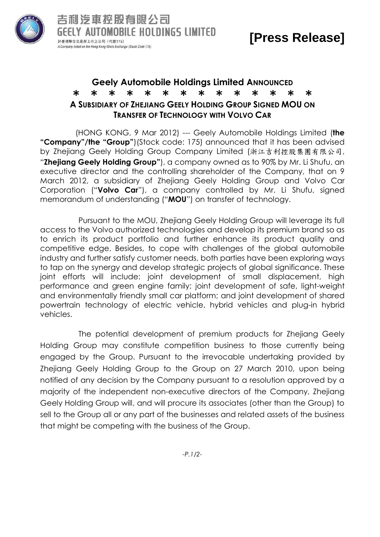

## **Geely Automobile Holdings Limited ANNOUNCED** \* \* \* \* \* \* \* \* \* \* \* \* \* \* **A SUBSIDIARY OF ZHEJIANG GEELY HOLDING GROUP SIGNED MOU ON TRANSFER OF TECHNOLOGY WITH VOLVO CAR**

(HONG KONG, 9 Mar 2012) --- Geely Automobile Holdings Limited (**the "Company"/the "Group"**)(Stock code: 175) announced that it has been advised by Zhejiang Geely Holding Group Company Limited (浙江吉利控股集團有限公司, "**Zhejiang Geely Holding Group"**), a company owned as to 90% by Mr. Li Shufu, an executive director and the controlling shareholder of the Company, that on 9 March 2012, a subsidiary of Zhejiang Geely Holding Group and Volvo Car Corporation ("**Volvo Car**"), a company controlled by Mr. Li Shufu, signed memorandum of understanding ("**MOU**") on transfer of technology.

 Pursuant to the MOU, Zhejiang Geely Holding Group will leverage its full access to the Volvo authorized technologies and develop its premium brand so as to enrich its product portfolio and further enhance its product quality and competitive edge. Besides, to cope with challenges of the global automobile industry and further satisfy customer needs, both parties have been exploring ways to tap on the synergy and develop strategic projects of global significance. These joint efforts will include: joint development of small displacement, high performance and green engine family; joint development of safe, light-weight and environmentally friendly small car platform; and joint development of shared powertrain technology of electric vehicle, hybrid vehicles and plug-in hybrid vehicles.

 The potential development of premium products for Zhejiang Geely Holding Group may constitute competition business to those currently being engaged by the Group. Pursuant to the irrevocable undertaking provided by Zhejiang Geely Holding Group to the Group on 27 March 2010, upon being notified of any decision by the Company pursuant to a resolution approved by a majority of the independent non-executive directors of the Company, Zhejiang Geely Holding Group will, and will procure its associates (other than the Group) to sell to the Group all or any part of the businesses and related assets of the business that might be competing with the business of the Group.

*-P.1/2-*